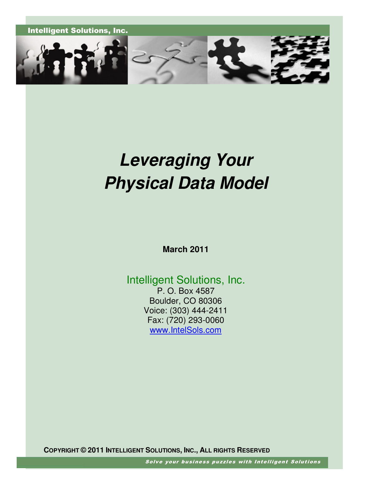

# **Leveraging Your Physical Data Model**

**March 2011** 

Intelligent Solutions, Inc. P. O. Box 4587

Boulder, CO 80306 Voice: (303) 444-2411 Fax: (720) 293-0060 www.IntelSols.com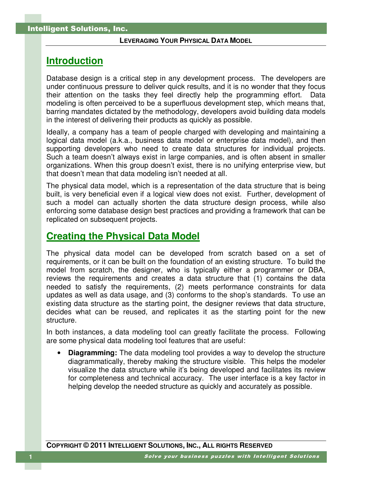## **Introduction**

Database design is a critical step in any development process. The developers are under continuous pressure to deliver quick results, and it is no wonder that they focus their attention on the tasks they feel directly help the programming effort. Data modeling is often perceived to be a superfluous development step, which means that, barring mandates dictated by the methodology, developers avoid building data models in the interest of delivering their products as quickly as possible.

Ideally, a company has a team of people charged with developing and maintaining a logical data model (a.k.a., business data model or enterprise data model), and then supporting developers who need to create data structures for individual projects. Such a team doesn't always exist in large companies, and is often absent in smaller organizations. When this group doesn't exist, there is no unifying enterprise view, but that doesn't mean that data modeling isn't needed at all.

The physical data model, which is a representation of the data structure that is being built, is very beneficial even if a logical view does not exist. Further, development of such a model can actually shorten the data structure design process, while also enforcing some database design best practices and providing a framework that can be replicated on subsequent projects.

## **Creating the Physical Data Model**

The physical data model can be developed from scratch based on a set of requirements, or it can be built on the foundation of an existing structure. To build the model from scratch, the designer, who is typically either a programmer or DBA, reviews the requirements and creates a data structure that (1) contains the data needed to satisfy the requirements, (2) meets performance constraints for data updates as well as data usage, and (3) conforms to the shop's standards. To use an existing data structure as the starting point, the designer reviews that data structure, decides what can be reused, and replicates it as the starting point for the new structure.

In both instances, a data modeling tool can greatly facilitate the process. Following are some physical data modeling tool features that are useful:

**Diagramming:** The data modeling tool provides a way to develop the structure diagrammatically, thereby making the structure visible. This helps the modeler visualize the data structure while it's being developed and facilitates its review for completeness and technical accuracy. The user interface is a key factor in helping develop the needed structure as quickly and accurately as possible.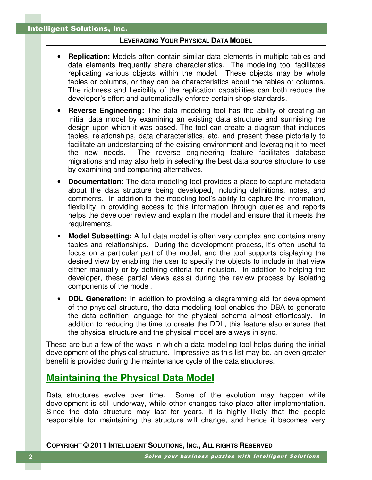- **Replication:** Models often contain similar data elements in multiple tables and data elements frequently share characteristics. The modeling tool facilitates replicating various objects within the model. These objects may be whole tables or columns, or they can be characteristics about the tables or columns. The richness and flexibility of the replication capabilities can both reduce the developer's effort and automatically enforce certain shop standards.
- **Reverse Engineering:** The data modeling tool has the ability of creating an initial data model by examining an existing data structure and surmising the design upon which it was based. The tool can create a diagram that includes tables, relationships, data characteristics, etc. and present these pictorially to facilitate an understanding of the existing environment and leveraging it to meet the new needs. The reverse engineering feature facilitates database migrations and may also help in selecting the best data source structure to use by examining and comparing alternatives.
- **Documentation:** The data modeling tool provides a place to capture metadata about the data structure being developed, including definitions, notes, and comments. In addition to the modeling tool's ability to capture the information, flexibility in providing access to this information through queries and reports helps the developer review and explain the model and ensure that it meets the requirements.
- **Model Subsetting:** A full data model is often very complex and contains many tables and relationships. During the development process, it's often useful to focus on a particular part of the model, and the tool supports displaying the desired view by enabling the user to specify the objects to include in that view either manually or by defining criteria for inclusion. In addition to helping the developer, these partial views assist during the review process by isolating components of the model.
- **DDL Generation:** In addition to providing a diagramming aid for development of the physical structure, the data modeling tool enables the DBA to generate the data definition language for the physical schema almost effortlessly. In addition to reducing the time to create the DDL, this feature also ensures that the physical structure and the physical model are always in sync.

These are but a few of the ways in which a data modeling tool helps during the initial development of the physical structure. Impressive as this list may be, an even greater benefit is provided during the maintenance cycle of the data structures.

## **Maintaining the Physical Data Model**

Data structures evolve over time. Some of the evolution may happen while development is still underway, while other changes take place after implementation. Since the data structure may last for years, it is highly likely that the people responsible for maintaining the structure will change, and hence it becomes very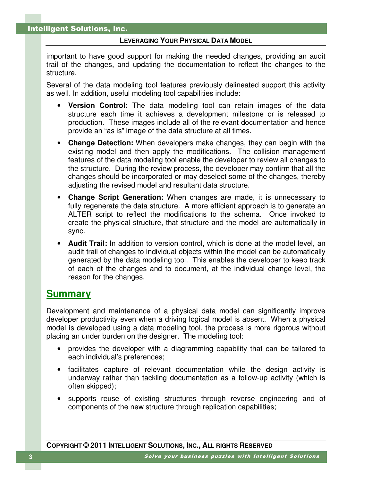important to have good support for making the needed changes, providing an audit trail of the changes, and updating the documentation to reflect the changes to the structure.

Several of the data modeling tool features previously delineated support this activity as well. In addition, useful modeling tool capabilities include:

- **Version Control:** The data modeling tool can retain images of the data structure each time it achieves a development milestone or is released to production. These images include all of the relevant documentation and hence provide an "as is" image of the data structure at all times.
- **Change Detection:** When developers make changes, they can begin with the existing model and then apply the modifications. The collision management features of the data modeling tool enable the developer to review all changes to the structure. During the review process, the developer may confirm that all the changes should be incorporated or may deselect some of the changes, thereby adjusting the revised model and resultant data structure.
- **Change Script Generation:** When changes are made, it is unnecessary to fully regenerate the data structure. A more efficient approach is to generate an ALTER script to reflect the modifications to the schema. Once invoked to create the physical structure, that structure and the model are automatically in sync.
- **Audit Trail:** In addition to version control, which is done at the model level, an audit trail of changes to individual objects within the model can be automatically generated by the data modeling tool. This enables the developer to keep track of each of the changes and to document, at the individual change level, the reason for the changes.

### **Summary**

Development and maintenance of a physical data model can significantly improve developer productivity even when a driving logical model is absent. When a physical model is developed using a data modeling tool, the process is more rigorous without placing an under burden on the designer. The modeling tool:

- provides the developer with a diagramming capability that can be tailored to each individual's preferences;
- facilitates capture of relevant documentation while the design activity is underway rather than tackling documentation as a follow-up activity (which is often skipped);
- supports reuse of existing structures through reverse engineering and of components of the new structure through replication capabilities;